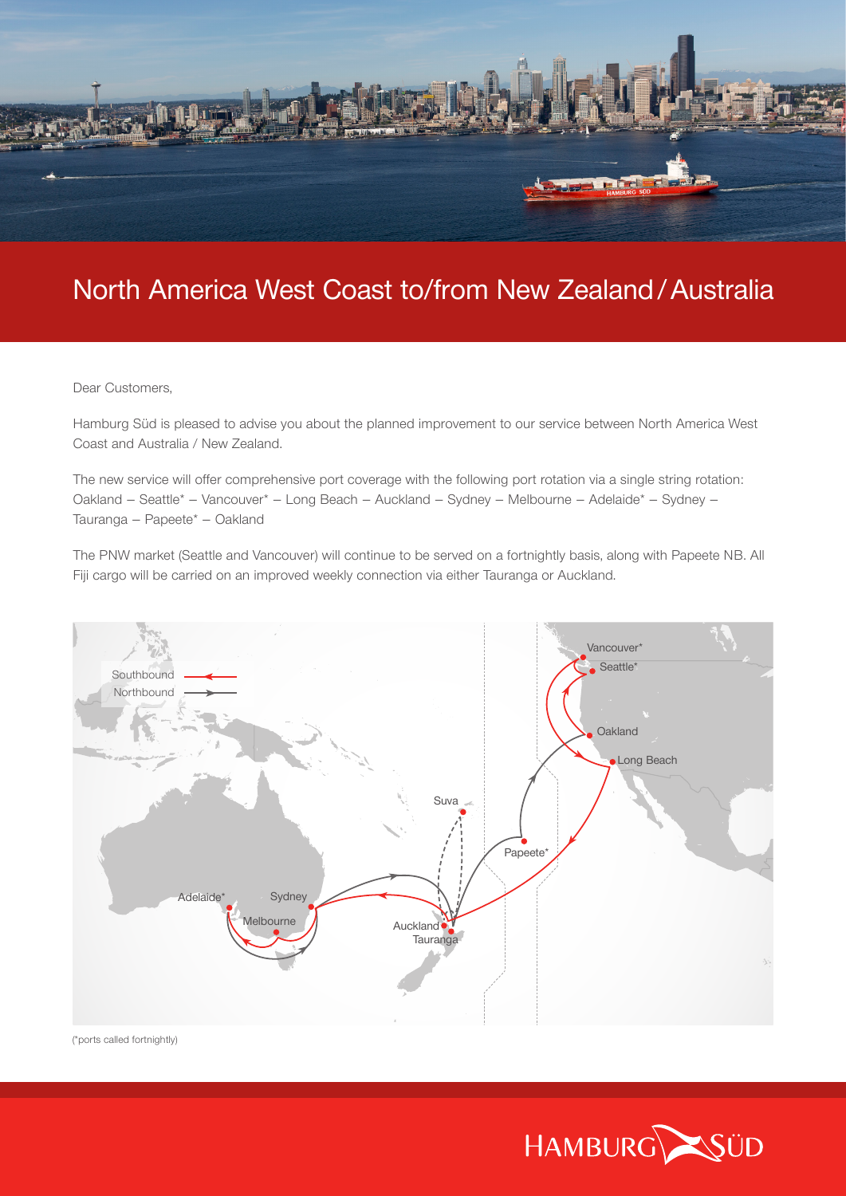

# North America West Coast to/from New Zealand/Australia

Dear Customers,

Hamburg Süd is pleased to advise you about the planned improvement to our service between North America West Coast and Australia / New Zealand.

The new service will offer comprehensive port coverage with the following port rotation via a single string rotation: Oakland – Seattle\* – Vancouver\* – Long Beach – Auckland – Sydney – Melbourne – Adelaide\* – Sydney – Tauranga – Papeete\* – Oakland

The PNW market (Seattle and Vancouver) will continue to be served on a fortnightly basis, along with Papeete NB. All Fiji cargo will be carried on an improved weekly connection via either Tauranga or Auckland.



(\*ports called fortnightly)